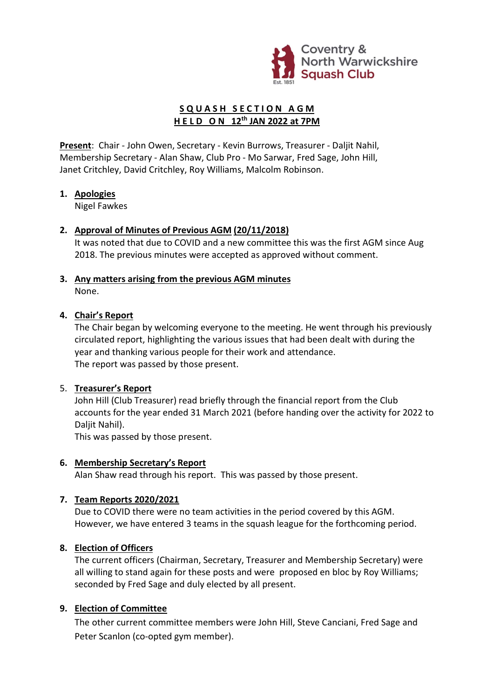

## SQUASH SECTION AGM H E L D O N 12<sup>th</sup> JAN 2022 at 7PM

Present: Chair - John Owen, Secretary - Kevin Burrows, Treasurer - Daljit Nahil, Membership Secretary - Alan Shaw, Club Pro - Mo Sarwar, Fred Sage, John Hill, Janet Critchley, David Critchley, Roy Williams, Malcolm Robinson.

#### 1. Apologies

Nigel Fawkes

#### 2. Approval of Minutes of Previous AGM (20/11/2018)

It was noted that due to COVID and a new committee this was the first AGM since Aug 2018. The previous minutes were accepted as approved without comment.

#### 3. Any matters arising from the previous AGM minutes None.

#### 4. Chair's Report

The Chair began by welcoming everyone to the meeting. He went through his previously circulated report, highlighting the various issues that had been dealt with during the year and thanking various people for their work and attendance. The report was passed by those present.

#### 5. Treasurer's Report

John Hill (Club Treasurer) read briefly through the financial report from the Club accounts for the year ended 31 March 2021 (before handing over the activity for 2022 to Daliit Nahil).

This was passed by those present.

#### 6. Membership Secretary's Report

Alan Shaw read through his report. This was passed by those present.

### 7. Team Reports 2020/2021

Due to COVID there were no team activities in the period covered by this AGM. However, we have entered 3 teams in the squash league for the forthcoming period.

#### 8. Election of Officers

The current officers (Chairman, Secretary, Treasurer and Membership Secretary) were all willing to stand again for these posts and were proposed en bloc by Roy Williams; seconded by Fred Sage and duly elected by all present.

#### 9. Election of Committee

The other current committee members were John Hill, Steve Canciani, Fred Sage and Peter Scanlon (co-opted gym member).